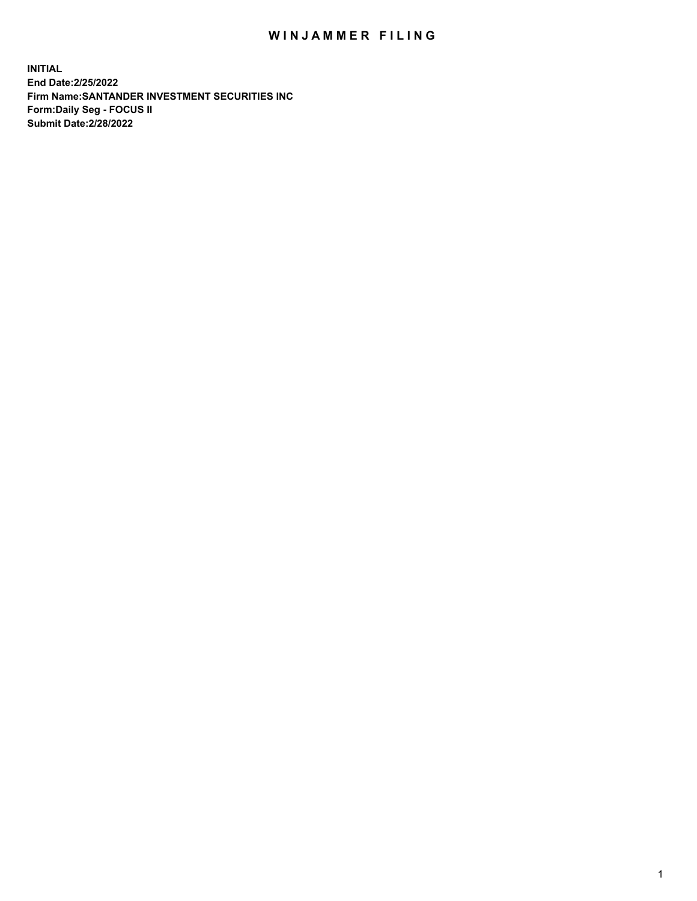## WIN JAMMER FILING

**INITIAL End Date:2/25/2022 Firm Name:SANTANDER INVESTMENT SECURITIES INC Form:Daily Seg - FOCUS II Submit Date:2/28/2022**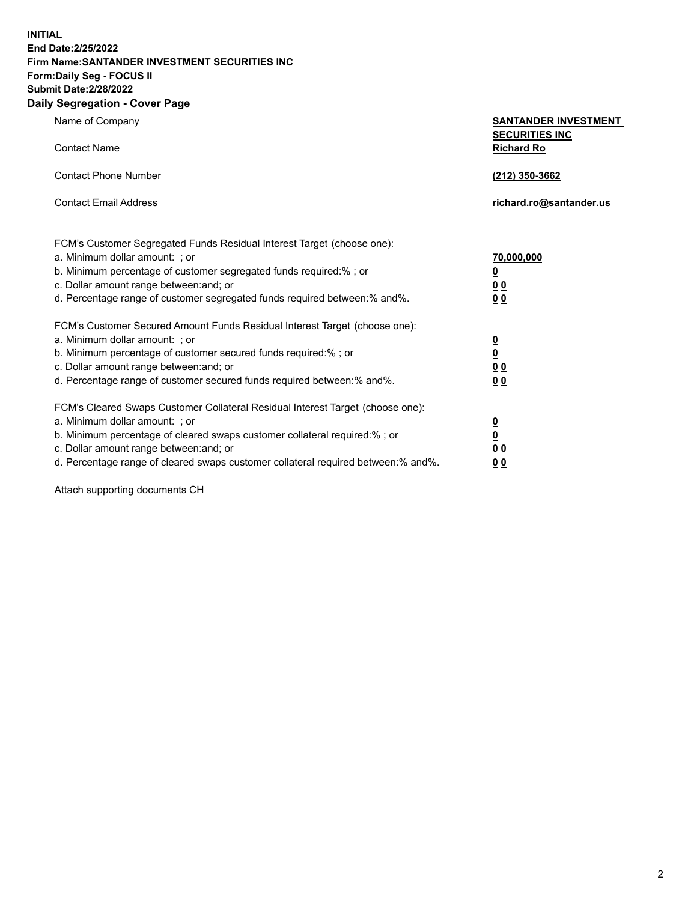**INITIAL End Date:2/25/2022 Firm Name:SANTANDER INVESTMENT SECURITIES INC Form:Daily Seg - FOCUS II Submit Date:2/28/2022 Daily Segregation - Cover Page**

| Name of Company                                                                   | <b>SANTANDER INVESTMENT</b><br><b>SECURITIES INC</b> |
|-----------------------------------------------------------------------------------|------------------------------------------------------|
| <b>Contact Name</b>                                                               | <b>Richard Ro</b>                                    |
| <b>Contact Phone Number</b>                                                       | (212) 350-3662                                       |
| <b>Contact Email Address</b>                                                      | richard.ro@santander.us                              |
| FCM's Customer Segregated Funds Residual Interest Target (choose one):            |                                                      |
| a. Minimum dollar amount: ; or                                                    | 70,000,000                                           |
| b. Minimum percentage of customer segregated funds required:% ; or                | <u>0</u>                                             |
| c. Dollar amount range between: and; or                                           | 0 <sub>0</sub>                                       |
| d. Percentage range of customer segregated funds required between:% and%.         | 0 <sub>0</sub>                                       |
| FCM's Customer Secured Amount Funds Residual Interest Target (choose one):        |                                                      |
| a. Minimum dollar amount: ; or                                                    | $\frac{0}{0}$                                        |
| b. Minimum percentage of customer secured funds required: % ; or                  |                                                      |
| c. Dollar amount range between: and; or                                           | 0 <sub>0</sub>                                       |
| d. Percentage range of customer secured funds required between:% and%.            | 0 <sub>0</sub>                                       |
| FCM's Cleared Swaps Customer Collateral Residual Interest Target (choose one):    |                                                      |
| a. Minimum dollar amount: ; or                                                    | $\overline{\mathbf{0}}$                              |
| b. Minimum percentage of cleared swaps customer collateral required:% ; or        | $\underline{\mathbf{0}}$                             |
| c. Dollar amount range between: and; or                                           | 0 <sub>0</sub>                                       |
| d. Percentage range of cleared swaps customer collateral required between:% and%. | 00                                                   |

Attach supporting documents CH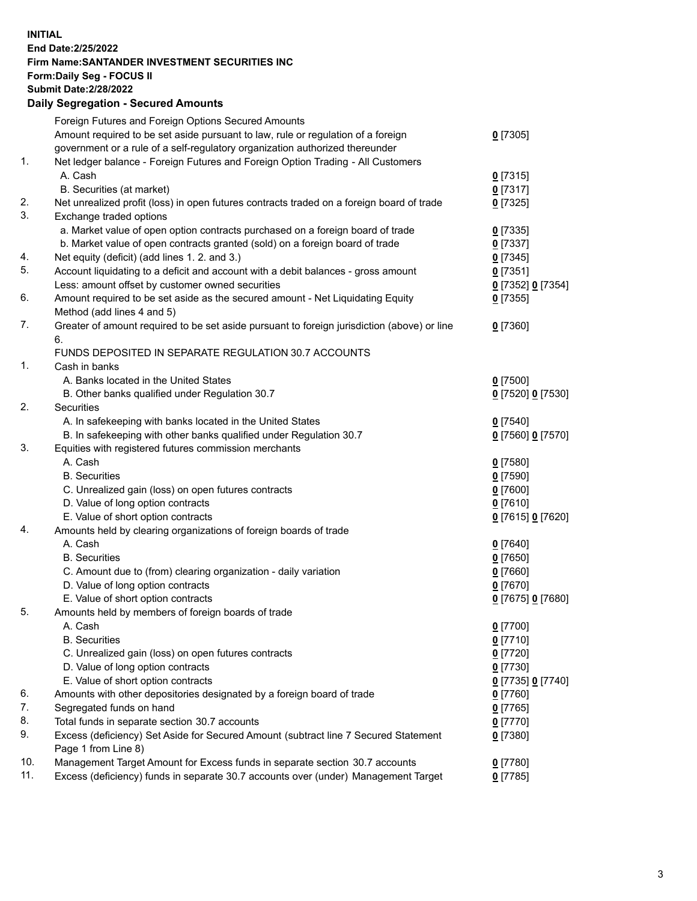## **INITIAL End Date:2/25/2022 Firm Name:SANTANDER INVESTMENT SECURITIES INC Form:Daily Seg - FOCUS II Submit Date:2/28/2022 Daily Segregation - Secured Amounts** Foreign Futures and Foreign Options Secured Amounts

|     | Foreign Futures and Foreign Options Secured Amounts                                         |                     |
|-----|---------------------------------------------------------------------------------------------|---------------------|
|     | Amount required to be set aside pursuant to law, rule or regulation of a foreign            | $0$ [7305]          |
|     | government or a rule of a self-regulatory organization authorized thereunder                |                     |
| 1.  | Net ledger balance - Foreign Futures and Foreign Option Trading - All Customers             |                     |
|     | A. Cash                                                                                     | $0$ [7315]          |
|     | B. Securities (at market)                                                                   | $0$ [7317]          |
| 2.  | Net unrealized profit (loss) in open futures contracts traded on a foreign board of trade   | $0$ [7325]          |
| 3.  | Exchange traded options                                                                     |                     |
|     | a. Market value of open option contracts purchased on a foreign board of trade              | $0$ [7335]          |
|     | b. Market value of open contracts granted (sold) on a foreign board of trade                | $0$ [7337]          |
| 4.  | Net equity (deficit) (add lines 1. 2. and 3.)                                               | $0$ [7345]          |
| 5.  | Account liquidating to a deficit and account with a debit balances - gross amount           | $0$ [7351]          |
|     | Less: amount offset by customer owned securities                                            | 0 [7352] 0 [7354]   |
| 6.  | Amount required to be set aside as the secured amount - Net Liquidating Equity              | $0$ [7355]          |
|     | Method (add lines 4 and 5)                                                                  |                     |
| 7.  | Greater of amount required to be set aside pursuant to foreign jurisdiction (above) or line | $0$ [7360]          |
|     | 6.                                                                                          |                     |
|     | FUNDS DEPOSITED IN SEPARATE REGULATION 30.7 ACCOUNTS                                        |                     |
| 1.  | Cash in banks                                                                               |                     |
|     | A. Banks located in the United States                                                       | $0$ [7500]          |
|     | B. Other banks qualified under Regulation 30.7                                              | 0 [7520] 0 [7530]   |
| 2.  | Securities                                                                                  |                     |
|     | A. In safekeeping with banks located in the United States                                   | $0$ [7540]          |
|     | B. In safekeeping with other banks qualified under Regulation 30.7                          | 0 [7560] 0 [7570]   |
| 3.  | Equities with registered futures commission merchants                                       |                     |
|     | A. Cash                                                                                     | $0$ [7580]          |
|     | <b>B.</b> Securities                                                                        | $0$ [7590]          |
|     | C. Unrealized gain (loss) on open futures contracts                                         | $0$ [7600]          |
|     | D. Value of long option contracts                                                           | $0$ [7610]          |
|     | E. Value of short option contracts                                                          | 0 [7615] 0 [7620]   |
| 4.  | Amounts held by clearing organizations of foreign boards of trade                           |                     |
|     | A. Cash                                                                                     | $0$ [7640]          |
|     | <b>B.</b> Securities                                                                        | $0$ [7650]          |
|     | C. Amount due to (from) clearing organization - daily variation                             | $0$ [7660]          |
|     | D. Value of long option contracts                                                           | $0$ [7670]          |
|     | E. Value of short option contracts                                                          | 0 [7675] 0 [7680]   |
| 5.  | Amounts held by members of foreign boards of trade                                          |                     |
|     | A. Cash                                                                                     | 0 <sup>[7700]</sup> |
|     | <b>B.</b> Securities                                                                        | $0$ [7710]          |
|     | C. Unrealized gain (loss) on open futures contracts                                         | $0$ [7720]          |
|     | D. Value of long option contracts                                                           | $0$ [7730]          |
|     | E. Value of short option contracts                                                          | 0 [7735] 0 [7740]   |
| 6.  | Amounts with other depositories designated by a foreign board of trade                      | $0$ [7760]          |
| 7.  | Segregated funds on hand                                                                    | $0$ [7765]          |
| 8.  | Total funds in separate section 30.7 accounts                                               | $0$ [7770]          |
| 9.  | Excess (deficiency) Set Aside for Secured Amount (subtract line 7 Secured Statement         | $0$ [7380]          |
|     | Page 1 from Line 8)                                                                         |                     |
| 10. | Management Target Amount for Excess funds in separate section 30.7 accounts                 | $0$ [7780]          |
| 11. | Excess (deficiency) funds in separate 30.7 accounts over (under) Management Target          | $0$ [7785]          |
|     |                                                                                             |                     |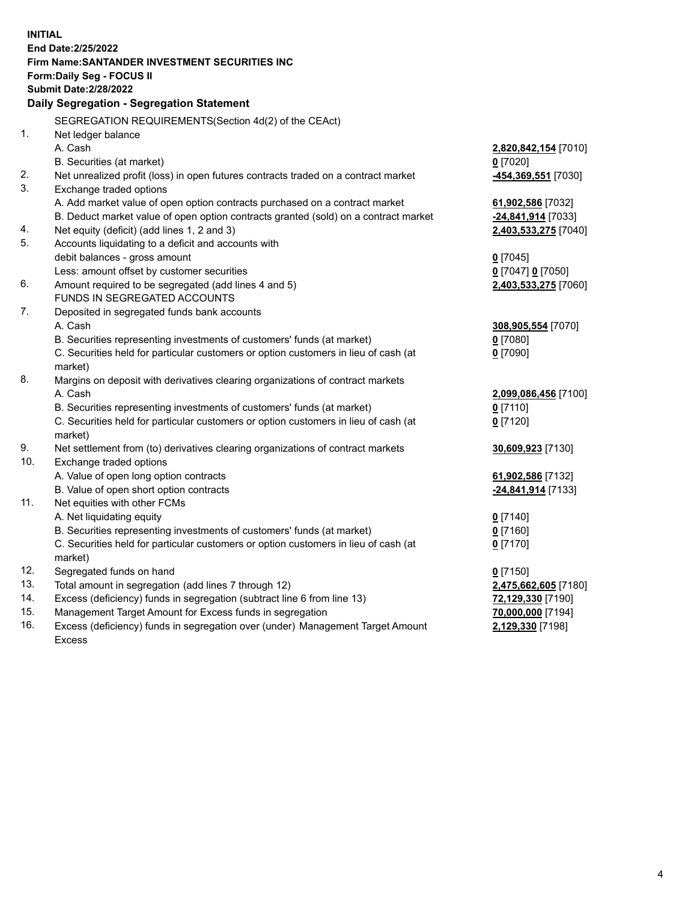| <b>INITIAL</b> |                                                                                                |                      |
|----------------|------------------------------------------------------------------------------------------------|----------------------|
|                | End Date: 2/25/2022                                                                            |                      |
|                | Firm Name: SANTANDER INVESTMENT SECURITIES INC                                                 |                      |
|                | Form: Daily Seg - FOCUS II                                                                     |                      |
|                | <b>Submit Date:2/28/2022</b>                                                                   |                      |
|                | Daily Segregation - Segregation Statement                                                      |                      |
|                | SEGREGATION REQUIREMENTS(Section 4d(2) of the CEAct)                                           |                      |
| 1.             | Net ledger balance                                                                             |                      |
|                | A. Cash                                                                                        | 2,820,842,154 [7010] |
|                | B. Securities (at market)                                                                      | $0$ [7020]           |
| 2.             | Net unrealized profit (loss) in open futures contracts traded on a contract market             | 454,369,551 [7030]   |
| 3.             | Exchange traded options                                                                        |                      |
|                | A. Add market value of open option contracts purchased on a contract market                    | 61,902,586 [7032]    |
|                | B. Deduct market value of open option contracts granted (sold) on a contract market            | -24,841,914 [7033]   |
| 4.             | Net equity (deficit) (add lines 1, 2 and 3)                                                    | 2,403,533,275 [7040] |
| 5.             | Accounts liquidating to a deficit and accounts with                                            |                      |
|                | debit balances - gross amount                                                                  | $0$ [7045]           |
|                | Less: amount offset by customer securities                                                     | 0 [7047] 0 [7050]    |
| 6.             | Amount required to be segregated (add lines 4 and 5)                                           | 2,403,533,275 [7060] |
|                | FUNDS IN SEGREGATED ACCOUNTS                                                                   |                      |
| 7.             | Deposited in segregated funds bank accounts                                                    |                      |
|                | A. Cash                                                                                        | 308,905,554 [7070]   |
|                | B. Securities representing investments of customers' funds (at market)                         | $0$ [7080]           |
|                | C. Securities held for particular customers or option customers in lieu of cash (at            | $0$ [7090]           |
|                | market)                                                                                        |                      |
| 8.             | Margins on deposit with derivatives clearing organizations of contract markets                 |                      |
|                | A. Cash                                                                                        | 2,099,086,456 [7100] |
|                | B. Securities representing investments of customers' funds (at market)                         | $0$ [7110]           |
|                | C. Securities held for particular customers or option customers in lieu of cash (at<br>market) | $0$ [7120]           |
| 9.             | Net settlement from (to) derivatives clearing organizations of contract markets                | 30,609,923 [7130]    |
| 10.            | Exchange traded options                                                                        |                      |
|                | A. Value of open long option contracts                                                         | 61,902,586 [7132]    |
|                | B. Value of open short option contracts                                                        | -24,841,914 [7133]   |
| 11.            | Net equities with other FCMs                                                                   |                      |
|                | A. Net liquidating equity                                                                      | $0$ [7140]           |
|                | B. Securities representing investments of customers' funds (at market)                         | $0$ [7160]           |
|                | C. Securities held for particular customers or option customers in lieu of cash (at            | $0$ [7170]           |
|                | market)                                                                                        |                      |
| 12.            | Segregated funds on hand                                                                       | $0$ [7150]           |
| 13.            | Total amount in segregation (add lines 7 through 12)                                           | 2,475,662,605 [7180] |
| 14.            | Excess (deficiency) funds in segregation (subtract line 6 from line 13)                        | 72,129,330 [7190]    |
| 15.            | Management Target Amount for Excess funds in segregation                                       | 70,000,000 [7194]    |
| 16.            | Excess (deficiency) funds in segregation over (under) Management Target Amount                 | 2,129,330 [7198]     |
|                | <b>Excess</b>                                                                                  |                      |